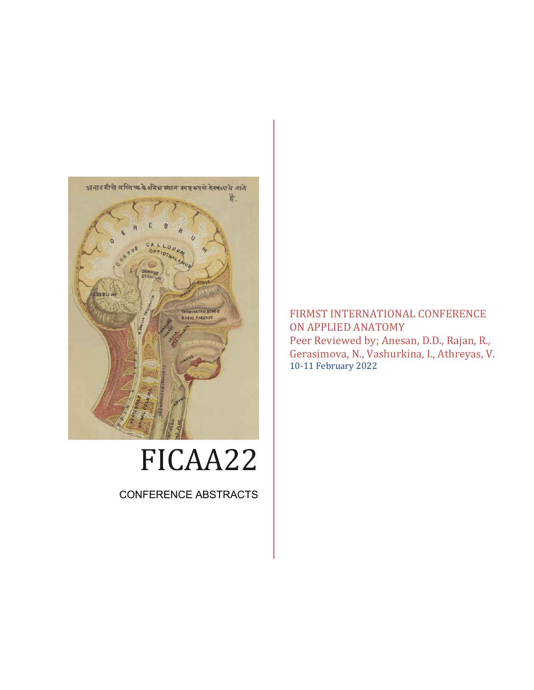

# FICAA22

CONFERENCE ABSTRACTS

FIRMST INTERNATIONAL CONFERENCE ON APPLIED ANATOMY Peer Reviewed by; Anesan, D.D., Rajan, R., Gerasimova, N., Vashurkina, I., Athreyas, V. 10-11 February 2022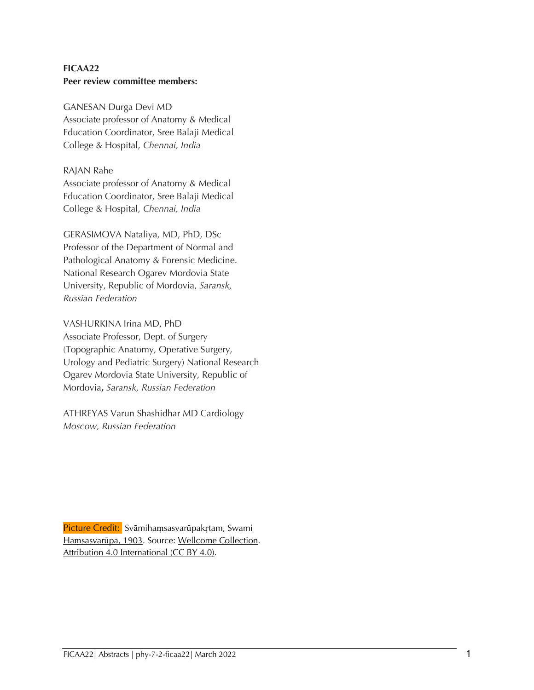# **FICAA22 Peer review committee members:**

GANESAN Durga Devi MD Associate professor of Anatomy & Medical Education Coordinator, Sree Balaji Medical College & Hospital, *Chennai, India*

#### RAJAN Rahe

Associate professor of Anatomy & Medical Education Coordinator, Sree Balaji Medical College & Hospital, *Chennai, India*

GERASIMOVA Nataliya, MD, PhD, DSc Professor of the Department of Normal and Pathological Anatomy & Forensic Medicine. National Research Ogarev Mordovia State University, Republic of Mordovia, *Saransk, Russian Federation*

VASHURKINA Irina MD, PhD Associate Professor, Dept. of Surgery (Topographic Anatomy, Operative Surgery, Urology and Pediatric Surgery) National Research Ogarev Mordovia State University, Republic of Mordovia**,** *Saransk, Russian Federation*

ATHREYAS Varun Shashidhar MD Cardiology *Moscow, Russian Federation*

Picture Credit: Svāmihamsasvarūpakrtam, Swami Haṃsasvarūpa, 1903. Source: Wellcome Collection. Attribution 4.0 International (CC BY 4.0).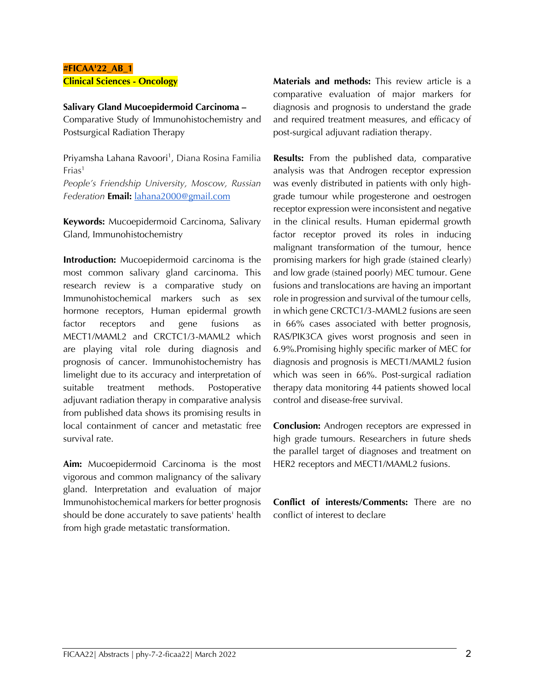# **#FICAA'22\_AB\_1 Clinical Sciences - Oncology**

#### **Salivary Gland Mucoepidermoid Carcinoma –**

Comparative Study of Immunohistochemistry and Postsurgical Radiation Therapy

Priyamsha Lahana Ravoori<sup>1</sup>, Diana Rosina Familia  $First<sup>1</sup>$ 

*People's Friendship University, Moscow, Russian Federation* **Email:** lahana2000@gmail.com

**Keywords:** Mucoepidermoid Carcinoma, Salivary Gland, Immunohistochemistry

**Introduction:** Mucoepidermoid carcinoma is the most common salivary gland carcinoma. This research review is a comparative study on Immunohistochemical markers such as sex hormone receptors, Human epidermal growth factor receptors and gene fusions as MECT1/MAML2 and CRCTC1/3-MAML2 which are playing vital role during diagnosis and prognosis of cancer. Immunohistochemistry has limelight due to its accuracy and interpretation of suitable treatment methods. Postoperative adjuvant radiation therapy in comparative analysis from published data shows its promising results in local containment of cancer and metastatic free survival rate.

**Aim:** Mucoepidermoid Carcinoma is the most vigorous and common malignancy of the salivary gland. Interpretation and evaluation of major Immunohistochemical markers for better prognosis should be done accurately to save patients' health from high grade metastatic transformation.

**Materials and methods:** This review article is a comparative evaluation of major markers for diagnosis and prognosis to understand the grade and required treatment measures, and efficacy of post-surgical adjuvant radiation therapy.

**Results:** From the published data, comparative analysis was that Androgen receptor expression was evenly distributed in patients with only highgrade tumour while progesterone and oestrogen receptor expression were inconsistent and negative in the clinical results. Human epidermal growth factor receptor proved its roles in inducing malignant transformation of the tumour, hence promising markers for high grade (stained clearly) and low grade (stained poorly) MEC tumour. Gene fusions and translocations are having an important role in progression and survival of the tumour cells, in which gene CRCTC1/3-MAML2 fusions are seen in 66% cases associated with better prognosis, RAS/PIK3CA gives worst prognosis and seen in 6.9%.Promising highly specific marker of MEC for diagnosis and prognosis is MECT1/MAML2 fusion which was seen in 66%. Post-surgical radiation therapy data monitoring 44 patients showed local control and disease-free survival.

**Conclusion:** Androgen receptors are expressed in high grade tumours. Researchers in future sheds the parallel target of diagnoses and treatment on HER2 receptors and MECT1/MAML2 fusions.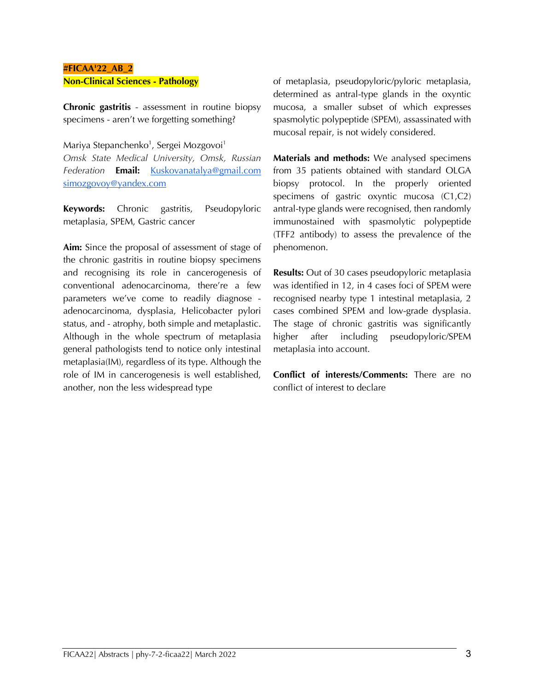#### **#FICAA'22\_AB\_2 Non-Clinical Sciences - Pathology**

**Chronic gastritis** - assessment in routine biopsy specimens - aren't we forgetting something?

Mariya Stepanchenko<sup>1</sup>, Sergei Mozgovoi<sup>1</sup>

*Omsk State Medical University, Omsk, Russian Federation* **Email:** Kuskovanatalya@gmail.com simozgovoy@yandex.com

**Keywords:** Chronic gastritis, Pseudopyloric metaplasia, SPEM, Gastric cancer

**Aim:** Since the proposal of assessment of stage of the chronic gastritis in routine biopsy specimens and recognising its role in cancerogenesis of conventional adenocarcinoma, there're a few parameters we've come to readily diagnose adenocarcinoma, dysplasia, Helicobacter pylori status, and - atrophy, both simple and metaplastic. Although in the whole spectrum of metaplasia general pathologists tend to notice only intestinal metaplasia(IM), regardless of its type. Although the role of IM in cancerogenesis is well established, another, non the less widespread type

of metaplasia, pseudopyloric/pyloric metaplasia, determined as antral-type glands in the oxyntic mucosa, a smaller subset of which expresses spasmolytic polypeptide (SPEM), assassinated with mucosal repair, is not widely considered.

**Materials and methods:** We analysed specimens from 35 patients obtained with standard OLGA biopsy protocol. In the properly oriented specimens of gastric oxyntic mucosa (C1,C2) antral-type glands were recognised, then randomly immunostained with spasmolytic polypeptide (TFF2 antibody) to assess the prevalence of the phenomenon.

**Results:** Out of 30 cases pseudopyloric metaplasia was identified in 12, in 4 cases foci of SPEM were recognised nearby type 1 intestinal metaplasia, 2 cases combined SPEM and low-grade dysplasia. The stage of chronic gastritis was significantly higher after including pseudopyloric/SPEM metaplasia into account.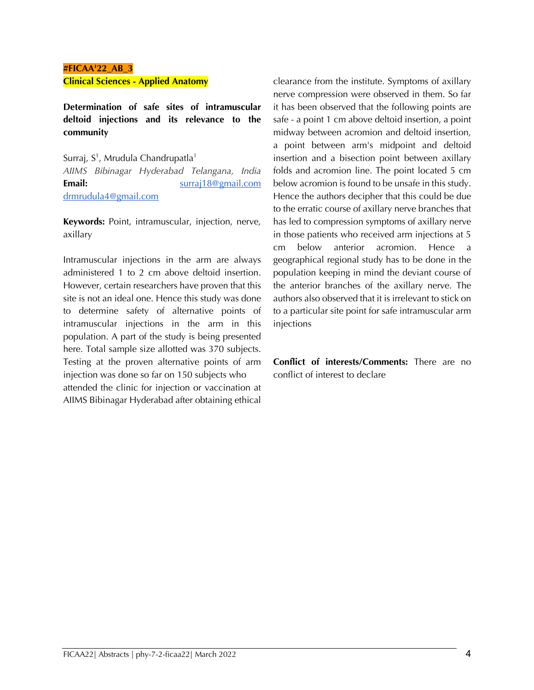# **#FICAA'22\_AB\_3**

**Clinical Sciences - Applied Anatomy**

**Determination of safe sites of intramuscular deltoid injections and its relevance to the community**

Surraj, S<sup>1</sup>, Mrudula Chandrupatla<sup>1</sup>

*AIIMS Bibinagar Hyderabad Telangana, India*  **Email:** surraj18@gmail.com drmrudula4@gmail.com

**Keywords:** Point, intramuscular, injection, nerve, axillary

Intramuscular injections in the arm are always administered 1 to 2 cm above deltoid insertion. However, certain researchers have proven that this site is not an ideal one. Hence this study was done to determine safety of alternative points of intramuscular injections in the arm in this population. A part of the study is being presented here. Total sample size allotted was 370 subjects. Testing at the proven alternative points of arm injection was done so far on 150 subjects who attended the clinic for injection or vaccination at AIIMS Bibinagar Hyderabad after obtaining ethical

clearance from the institute. Symptoms of axillary nerve compression were observed in them. So far it has been observed that the following points are safe - a point 1 cm above deltoid insertion, a point midway between acromion and deltoid insertion, a point between arm's midpoint and deltoid insertion and a bisection point between axillary folds and acromion line. The point located 5 cm below acromion is found to be unsafe in this study. Hence the authors decipher that this could be due to the erratic course of axillary nerve branches that has led to compression symptoms of axillary nerve in those patients who received arm injections at 5 cm below anterior acromion. Hence a geographical regional study has to be done in the population keeping in mind the deviant course of the anterior branches of the axillary nerve. The authors also observed that it is irrelevant to stick on to a particular site point for safe intramuscular arm injections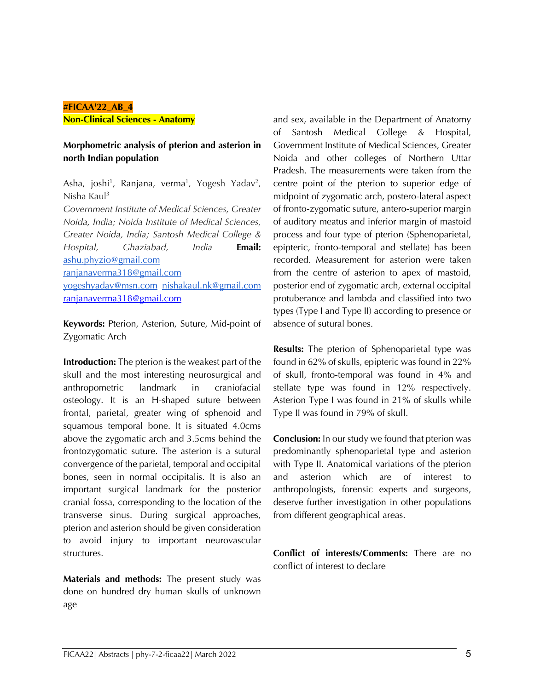#### **#FICAA'22\_AB\_4**

**Non-Clinical Sciences - Anatomy**

#### **Morphometric analysis of pterion and asterion in north Indian population**

Asha, joshi<sup>1</sup>, Ranjana, verma<sup>1</sup>, Yogesh Yadav<sup>2</sup>, Nisha Kaul3

*Government Institute of Medical Sciences, Greater Noida, India; Noida Institute of Medical Sciences, Greater Noida, India; Santosh Medical College & Hospital, Ghaziabad, India* **Email:** ashu.phyzio@gmail.com ranjanaverma318@gmail.com yogeshyadav@msn.com nishakaul.nk@gmail.com ranjanaverma318@gmail.com

**Keywords:** Pterion, Asterion, Suture, Mid-point of Zygomatic Arch

**Introduction:** The pterion is the weakest part of the skull and the most interesting neurosurgical and anthropometric landmark in craniofacial osteology. It is an H-shaped suture between frontal, parietal, greater wing of sphenoid and squamous temporal bone. It is situated 4.0cms above the zygomatic arch and 3.5cms behind the frontozygomatic suture. The asterion is a sutural convergence of the parietal, temporal and occipital bones, seen in normal occipitalis. It is also an important surgical landmark for the posterior cranial fossa, corresponding to the location of the transverse sinus. During surgical approaches, pterion and asterion should be given consideration to avoid injury to important neurovascular structures.

**Materials and methods:** The present study was done on hundred dry human skulls of unknown age

and sex, available in the Department of Anatomy of Santosh Medical College & Hospital, Government Institute of Medical Sciences, Greater Noida and other colleges of Northern Uttar Pradesh. The measurements were taken from the centre point of the pterion to superior edge of midpoint of zygomatic arch, postero-lateral aspect of fronto-zygomatic suture, antero-superior margin of auditory meatus and inferior margin of mastoid process and four type of pterion (Sphenoparietal, epipteric, fronto-temporal and stellate) has been recorded. Measurement for asterion were taken from the centre of asterion to apex of mastoid, posterior end of zygomatic arch, external occipital protuberance and lambda and classified into two types (Type I and Type II) according to presence or absence of sutural bones.

**Results:** The pterion of Sphenoparietal type was found in 62% of skulls, epipteric was found in 22% of skull, fronto-temporal was found in 4% and stellate type was found in 12% respectively. Asterion Type I was found in 21% of skulls while Type II was found in 79% of skull.

**Conclusion:** In our study we found that pterion was predominantly sphenoparietal type and asterion with Type II. Anatomical variations of the pterion and asterion which are of interest to anthropologists, forensic experts and surgeons, deserve further investigation in other populations from different geographical areas.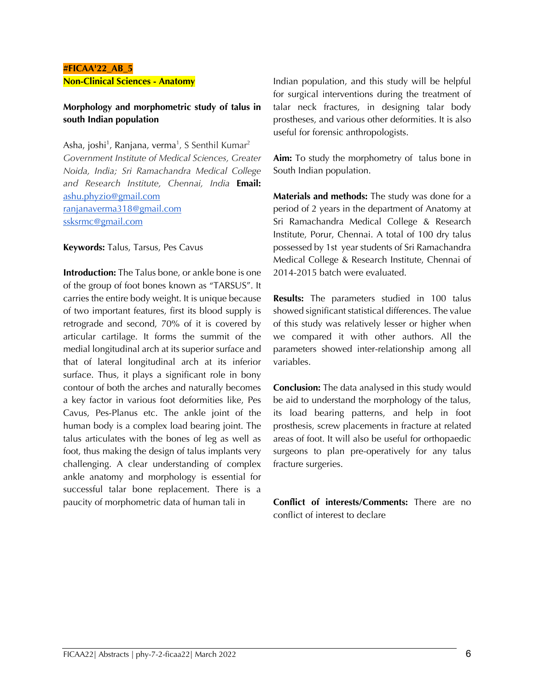#### **#FICAA'22\_AB\_5 Non-Clinical Sciences - Anatomy**

# **Morphology and morphometric study of talus in south Indian population**

Asha, joshi<sup>1</sup>, Ranjana, verma<sup>1</sup>, S Senthil Kumar<sup>2</sup> *Government Institute of Medical Sciences, Greater Noida, India; Sri Ramachandra Medical College and Research Institute, Chennai, India* **Email:** ashu.phyzio@gmail.com ranjanaverma318@gmail.com ssksrmc@gmail.com

**Keywords:** Talus, Tarsus, Pes Cavus

**Introduction:** The Talus bone, or ankle bone is one of the group of foot bones known as "TARSUS". It carries the entire body weight. It is unique because of two important features, first its blood supply is retrograde and second, 70% of it is covered by articular cartilage. It forms the summit of the medial longitudinal arch at its superior surface and that of lateral longitudinal arch at its inferior surface. Thus, it plays a significant role in bony contour of both the arches and naturally becomes a key factor in various foot deformities like, Pes Cavus, Pes-Planus etc. The ankle joint of the human body is a complex load bearing joint. The talus articulates with the bones of leg as well as foot, thus making the design of talus implants very challenging. A clear understanding of complex ankle anatomy and morphology is essential for successful talar bone replacement. There is a paucity of morphometric data of human tali in

Indian population, and this study will be helpful for surgical interventions during the treatment of talar neck fractures, in designing talar body prostheses, and various other deformities. It is also useful for forensic anthropologists.

**Aim:** To study the morphometry of talus bone in South Indian population.

**Materials and methods:** The study was done for a period of 2 years in the department of Anatomy at Sri Ramachandra Medical College & Research Institute, Porur, Chennai. A total of 100 dry talus possessed by 1st year students of Sri Ramachandra Medical College & Research Institute, Chennai of 2014-2015 batch were evaluated.

**Results:** The parameters studied in 100 talus showed significant statistical differences. The value of this study was relatively lesser or higher when we compared it with other authors. All the parameters showed inter-relationship among all variables.

**Conclusion:** The data analysed in this study would be aid to understand the morphology of the talus, its load bearing patterns, and help in foot prosthesis, screw placements in fracture at related areas of foot. It will also be useful for orthopaedic surgeons to plan pre-operatively for any talus fracture surgeries.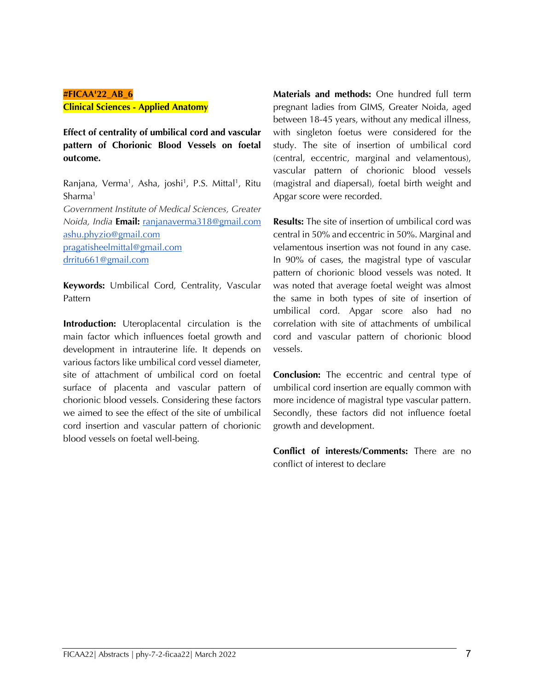#### **#FICAA'22\_AB\_6 Clinical Sciences - Applied Anatomy**

**Effect of centrality of umbilical cord and vascular pattern of Chorionic Blood Vessels on foetal outcome.**

Ranjana, Verma<sup>1</sup>, Asha, joshi<sup>1</sup>, P.S. Mittal<sup>1</sup>, Ritu Sharma1 *Government Institute of Medical Sciences, Greater Noida, India* **Email:** ranjanaverma318@gmail.com ashu.phyzio@gmail.com pragatisheelmittal@gmail.com drritu661@gmail.com

**Keywords:** Umbilical Cord, Centrality, Vascular Pattern

**Introduction:** Uteroplacental circulation is the main factor which influences foetal growth and development in intrauterine life. It depends on various factors like umbilical cord vessel diameter, site of attachment of umbilical cord on foetal surface of placenta and vascular pattern of chorionic blood vessels. Considering these factors we aimed to see the effect of the site of umbilical cord insertion and vascular pattern of chorionic blood vessels on foetal well-being.

**Materials and methods:** One hundred full term pregnant ladies from GIMS, Greater Noida, aged between 18-45 years, without any medical illness, with singleton foetus were considered for the study. The site of insertion of umbilical cord (central, eccentric, marginal and velamentous), vascular pattern of chorionic blood vessels (magistral and diapersal), foetal birth weight and Apgar score were recorded.

**Results:** The site of insertion of umbilical cord was central in 50% and eccentric in 50%. Marginal and velamentous insertion was not found in any case. In 90% of cases, the magistral type of vascular pattern of chorionic blood vessels was noted. It was noted that average foetal weight was almost the same in both types of site of insertion of umbilical cord. Apgar score also had no correlation with site of attachments of umbilical cord and vascular pattern of chorionic blood vessels.

**Conclusion:** The eccentric and central type of umbilical cord insertion are equally common with more incidence of magistral type vascular pattern. Secondly, these factors did not influence foetal growth and development.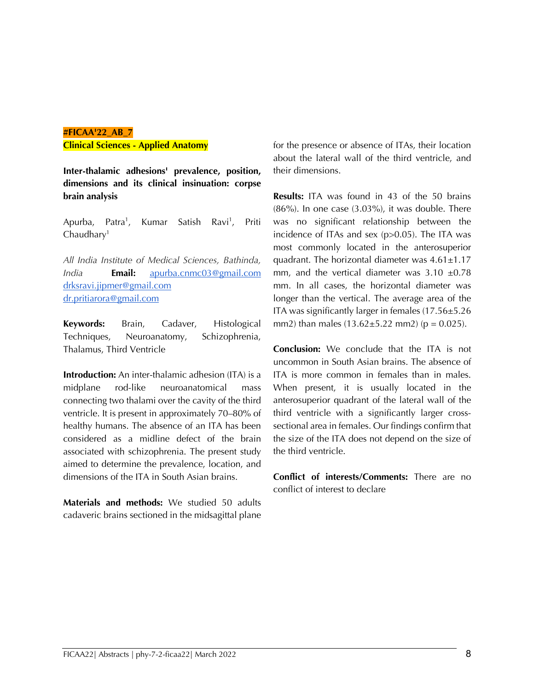#### **#FICAA'22\_AB\_7 Clinical Sciences - Applied Anatomy**

**Inter-thalamic adhesions' prevalence, position, dimensions and its clinical insinuation: corpse brain analysis**

Apurba, Patra<sup>1</sup>, Kumar Satish Ravi<sup>1</sup>, , Priti  $Chaudhary<sup>1</sup>$ 

*All India Institute of Medical Sciences, Bathinda, India* **Email:** apurba.cnmc03@gmail.com drksravi.jipmer@gmail.com dr.pritiarora@gmail.com

**Keywords:** Brain, Cadaver, Histological Techniques, Neuroanatomy, Schizophrenia, Thalamus, Third Ventricle

**Introduction:** An inter-thalamic adhesion (ITA) is a midplane rod-like neuroanatomical mass connecting two thalami over the cavity of the third ventricle. It is present in approximately 70–80% of healthy humans. The absence of an ITA has been considered as a midline defect of the brain associated with schizophrenia. The present study aimed to determine the prevalence, location, and dimensions of the ITA in South Asian brains.

**Materials and methods:** We studied 50 adults cadaveric brains sectioned in the midsagittal plane for the presence or absence of ITAs, their location about the lateral wall of the third ventricle, and their dimensions.

**Results:** ITA was found in 43 of the 50 brains  $(86\%)$ . In one case  $(3.03\%)$ , it was double. There was no significant relationship between the incidence of ITAs and sex (p>0.05). The ITA was most commonly located in the anterosuperior quadrant. The horizontal diameter was  $4.61 \pm 1.17$ mm, and the vertical diameter was  $3.10 \pm 0.78$ mm. In all cases, the horizontal diameter was longer than the vertical. The average area of the ITA was significantly larger in females (17.56±5.26 mm2) than males  $(13.62 \pm 5.22 \text{ mm2})$  ( $p = 0.025$ ).

**Conclusion:** We conclude that the ITA is not uncommon in South Asian brains. The absence of ITA is more common in females than in males. When present, it is usually located in the anterosuperior quadrant of the lateral wall of the third ventricle with a significantly larger crosssectional area in females. Our findings confirm that the size of the ITA does not depend on the size of the third ventricle.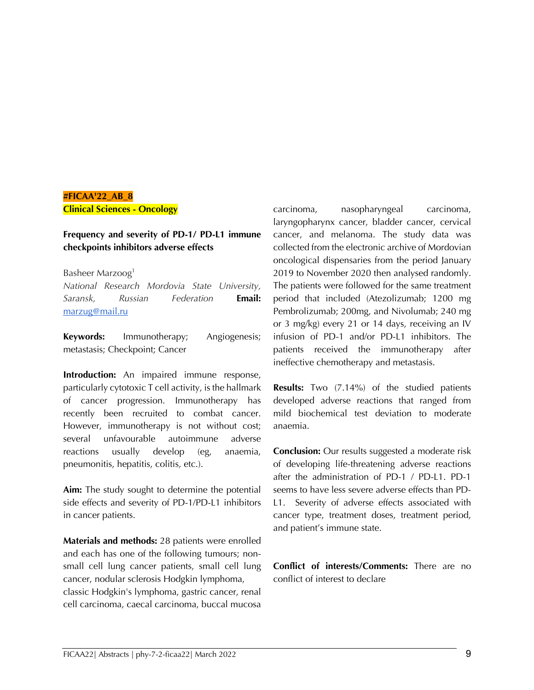# **#FICAA'22\_AB\_8 Clinical Sciences - Oncology**

#### **Frequency and severity of PD-1/ PD-L1 immune checkpoints inhibitors adverse effects**

#### Basheer Marzoog1

*National Research Mordovia State University, Saransk, Russian Federation* **Email:** marzug@mail.ru

**Keywords:** Immunotherapy; Angiogenesis; metastasis; Checkpoint; Cancer

**Introduction:** An impaired immune response, particularly cytotoxic T cell activity, is the hallmark of cancer progression. Immunotherapy has recently been recruited to combat cancer. However, immunotherapy is not without cost; several unfavourable autoimmune adverse reactions usually develop (eg, anaemia, pneumonitis, hepatitis, colitis, etc.).

**Aim:** The study sought to determine the potential side effects and severity of PD-1/PD-L1 inhibitors in cancer patients.

**Materials and methods:** 28 patients were enrolled and each has one of the following tumours; nonsmall cell lung cancer patients, small cell lung cancer, nodular sclerosis Hodgkin lymphoma, classic Hodgkin's lymphoma, gastric cancer, renal cell carcinoma, caecal carcinoma, buccal mucosa

carcinoma, nasopharyngeal carcinoma, laryngopharynx cancer, bladder cancer, cervical cancer, and melanoma. The study data was collected from the electronic archive of Mordovian oncological dispensaries from the period January 2019 to November 2020 then analysed randomly. The patients were followed for the same treatment period that included (Atezolizumab; 1200 mg Pembrolizumab; 200mg, and Nivolumab; 240 mg or 3 mg/kg) every 21 or 14 days, receiving an IV infusion of PD-1 and/or PD-L1 inhibitors. The patients received the immunotherapy after ineffective chemotherapy and metastasis.

**Results:** Two (7.14%) of the studied patients developed adverse reactions that ranged from mild biochemical test deviation to moderate anaemia.

**Conclusion:** Our results suggested a moderate risk of developing life-threatening adverse reactions after the administration of PD-1 / PD-L1. PD-1 seems to have less severe adverse effects than PD-L1. Severity of adverse effects associated with cancer type, treatment doses, treatment period, and patient's immune state.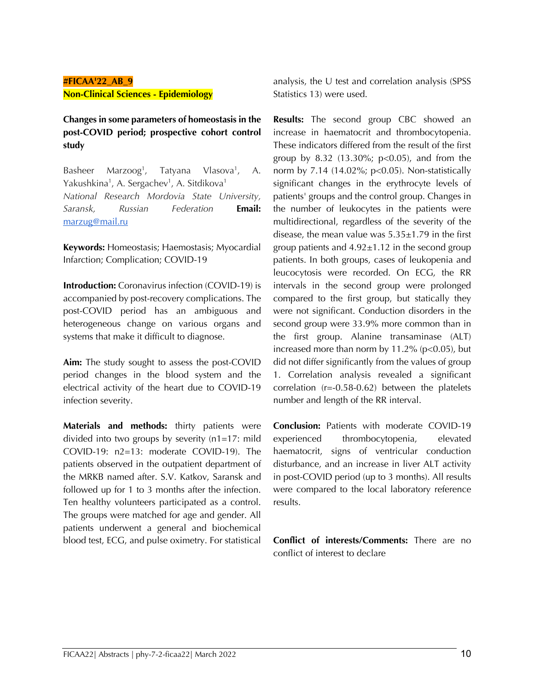# **#FICAA'22\_AB\_9 Non-Clinical Sciences - Epidemiology**

**Changes in some parameters of homeostasis in the post-COVID period; prospective cohort control study**

Basheer Marzoog<sup>1</sup>, Tatyana Vlasova<sup>1</sup>,  $A<sub>r</sub>$ Yakushkina<sup>1</sup>, A. Sergachev<sup>1</sup>, A. Sitdikova<sup>1</sup> *National Research Mordovia State University, Saransk, Russian Federation* **Email:** marzug@mail.ru

**Keywords:** Homeostasis; Haemostasis; Myocardial Infarction; Complication; COVID-19

**Introduction:** Coronavirus infection (COVID-19) is accompanied by post-recovery complications. The post-COVID period has an ambiguous and heterogeneous change on various organs and systems that make it difficult to diagnose.

**Aim:** The study sought to assess the post-COVID period changes in the blood system and the electrical activity of the heart due to COVID-19 infection severity.

**Materials and methods:** thirty patients were divided into two groups by severity (n1=17: mild COVID-19: n2=13: moderate COVID-19). The patients observed in the outpatient department of the MRKB named after. S.V. Katkov, Saransk and followed up for 1 to 3 months after the infection. Ten healthy volunteers participated as a control. The groups were matched for age and gender. All patients underwent a general and biochemical blood test, ECG, and pulse oximetry. For statistical

analysis, the U test and correlation analysis (SPSS Statistics 13) were used.

**Results:** The second group CBC showed an increase in haematocrit and thrombocytopenia. These indicators differed from the result of the first group by 8.32  $(13.30\%; p<0.05)$ , and from the norm by 7.14 (14.02%; p<0.05). Non-statistically significant changes in the erythrocyte levels of patients' groups and the control group. Changes in the number of leukocytes in the patients were multidirectional, regardless of the severity of the disease, the mean value was  $5.35\pm1.79$  in the first group patients and  $4.92\pm1.12$  in the second group patients. In both groups, cases of leukopenia and leucocytosis were recorded. On ECG, the RR intervals in the second group were prolonged compared to the first group, but statically they were not significant. Conduction disorders in the second group were 33.9% more common than in the first group. Alanine transaminase (ALT) increased more than norm by  $11.2\%$  ( $p<0.05$ ), but did not differ significantly from the values of group 1. Correlation analysis revealed a significant correlation (r=-0.58-0.62) between the platelets number and length of the RR interval.

**Conclusion:** Patients with moderate COVID-19 experienced thrombocytopenia, elevated haematocrit, signs of ventricular conduction disturbance, and an increase in liver ALT activity in post-COVID period (up to 3 months). All results were compared to the local laboratory reference results.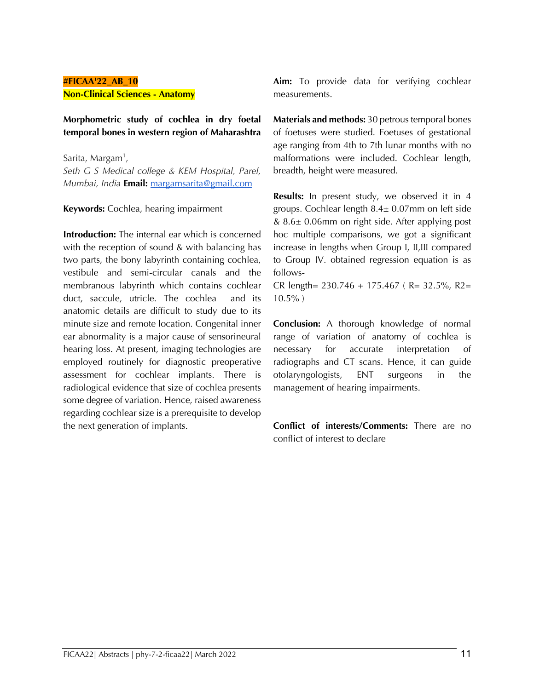# **#FICAA'22\_AB\_10 Non-Clinical Sciences - Anatomy**

**Morphometric study of cochlea in dry foetal temporal bones in western region of Maharashtra**

Sarita, Margam<sup>1</sup>, *Seth G S Medical college & KEM Hospital, Parel, Mumbai, India* **Email:** margamsarita@gmail.com

**Keywords:** Cochlea, hearing impairment

**Introduction:** The internal ear which is concerned with the reception of sound & with balancing has two parts, the bony labyrinth containing cochlea, vestibule and semi-circular canals and the membranous labyrinth which contains cochlear duct, saccule, utricle. The cochlea and its anatomic details are difficult to study due to its minute size and remote location. Congenital inner ear abnormality is a major cause of sensorineural hearing loss. At present, imaging technologies are employed routinely for diagnostic preoperative assessment for cochlear implants. There is radiological evidence that size of cochlea presents some degree of variation. Hence, raised awareness regarding cochlear size is a prerequisite to develop the next generation of implants.

**Aim:** To provide data for verifying cochlear measurements.

**Materials and methods:** 30 petrous temporal bones of foetuses were studied. Foetuses of gestational age ranging from 4th to 7th lunar months with no malformations were included. Cochlear length, breadth, height were measured.

**Results:** In present study, we observed it in 4 groups. Cochlear length 8.4± 0.07mm on left side & 8.6± 0.06mm on right side. After applying post hoc multiple comparisons, we got a significant increase in lengths when Group I, II,III compared to Group IV. obtained regression equation is as follows-

CR length= 230.746 + 175.467 ( R= 32.5%, R2= 10.5% )

**Conclusion:** A thorough knowledge of normal range of variation of anatomy of cochlea is necessary for accurate interpretation of radiographs and CT scans. Hence, it can guide otolaryngologists, ENT surgeons in the management of hearing impairments.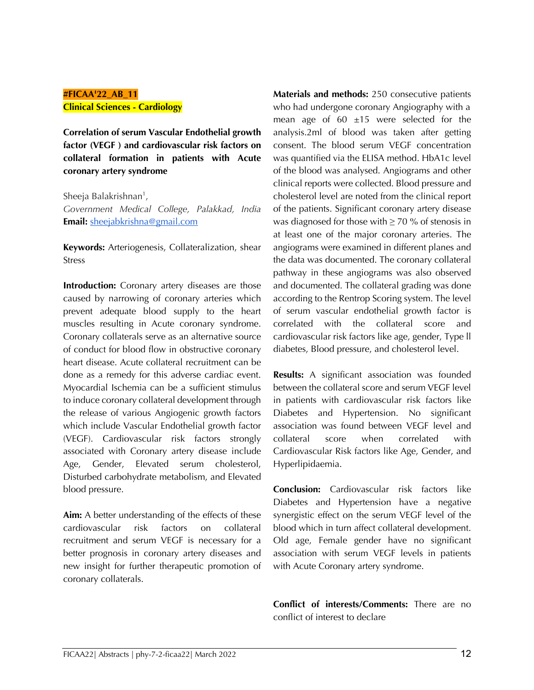#### **#FICAA'22\_AB\_11 Clinical Sciences - Cardiology**

**Correlation of serum Vascular Endothelial growth factor (VEGF ) and cardiovascular risk factors on collateral formation in patients with Acute coronary artery syndrome**

Sheeja Balakrishnan<sup>1</sup>, *Government Medical College, Palakkad, India*  **Email:** sheejabkrishna@gmail.com

**Keywords:** Arteriogenesis, Collateralization, shear Stress

**Introduction:** Coronary artery diseases are those caused by narrowing of coronary arteries which prevent adequate blood supply to the heart muscles resulting in Acute coronary syndrome. Coronary collaterals serve as an alternative source of conduct for blood flow in obstructive coronary heart disease. Acute collateral recruitment can be done as a remedy for this adverse cardiac event. Myocardial Ischemia can be a sufficient stimulus to induce coronary collateral development through the release of various Angiogenic growth factors which include Vascular Endothelial growth factor (VEGF). Cardiovascular risk factors strongly associated with Coronary artery disease include Age, Gender, Elevated serum cholesterol, Disturbed carbohydrate metabolism, and Elevated blood pressure.

**Aim:** A better understanding of the effects of these cardiovascular risk factors on collateral recruitment and serum VEGF is necessary for a better prognosis in coronary artery diseases and new insight for further therapeutic promotion of coronary collaterals.

**Materials and methods:** 250 consecutive patients who had undergone coronary Angiography with a mean age of  $60 \pm 15$  were selected for the analysis.2ml of blood was taken after getting consent. The blood serum VEGF concentration was quantified via the ELISA method. HbA1c level of the blood was analysed. Angiograms and other clinical reports were collected. Blood pressure and cholesterol level are noted from the clinical report of the patients. Significant coronary artery disease was diagnosed for those with  $\geq$  70 % of stenosis in at least one of the major coronary arteries. The angiograms were examined in different planes and the data was documented. The coronary collateral pathway in these angiograms was also observed and documented. The collateral grading was done according to the Rentrop Scoring system. The level of serum vascular endothelial growth factor is correlated with the collateral score and cardiovascular risk factors like age, gender, Type ll diabetes, Blood pressure, and cholesterol level.

**Results:** A significant association was founded between the collateral score and serum VEGF level in patients with cardiovascular risk factors like Diabetes and Hypertension. No significant association was found between VEGF level and collateral score when correlated with Cardiovascular Risk factors like Age, Gender, and Hyperlipidaemia.

**Conclusion:** Cardiovascular risk factors like Diabetes and Hypertension have a negative synergistic effect on the serum VEGF level of the blood which in turn affect collateral development. Old age, Female gender have no significant association with serum VEGF levels in patients with Acute Coronary artery syndrome.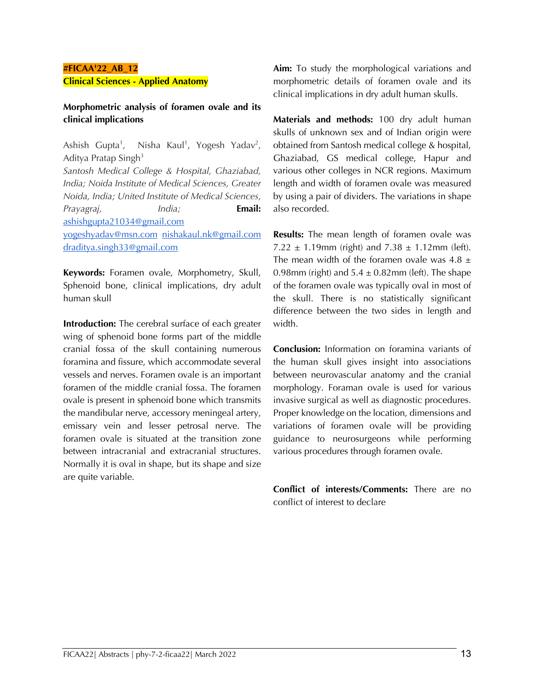#### **#FICAA'22\_AB\_12 Clinical Sciences - Applied Anatomy**

#### **Morphometric analysis of foramen ovale and its clinical implications**

Ashish Gupta<sup>1</sup>, , Nisha Kaul<sup>1</sup>, Yogesh Yadav<sup>2</sup>, Aditya Pratap Singh<sup>3</sup> *Santosh Medical College & Hospital, Ghaziabad, India; Noida Institute of Medical Sciences, Greater Noida, India; United Institute of Medical Sciences, Prayagraj, India;* **Email:**  ashishgupta21034@gmail.com yogeshyadav@msn.com nishakaul.nk@gmail.com

draditya.singh33@gmail.com

**Keywords:** Foramen ovale, Morphometry, Skull, Sphenoid bone, clinical implications, dry adult human skull

**Introduction:** The cerebral surface of each greater wing of sphenoid bone forms part of the middle cranial fossa of the skull containing numerous foramina and fissure, which accommodate several vessels and nerves. Foramen ovale is an important foramen of the middle cranial fossa. The foramen ovale is present in sphenoid bone which transmits the mandibular nerve, accessory meningeal artery, emissary vein and lesser petrosal nerve. The foramen ovale is situated at the transition zone between intracranial and extracranial structures. Normally it is oval in shape, but its shape and size are quite variable.

**Aim:** To study the morphological variations and morphometric details of foramen ovale and its clinical implications in dry adult human skulls.

**Materials and methods:** 100 dry adult human skulls of unknown sex and of Indian origin were obtained from Santosh medical college & hospital, Ghaziabad, GS medical college, Hapur and various other colleges in NCR regions. Maximum length and width of foramen ovale was measured by using a pair of dividers. The variations in shape also recorded.

**Results:** The mean length of foramen ovale was  $7.22 \pm 1.19$  mm (right) and  $7.38 \pm 1.12$  mm (left). The mean width of the foramen ovale was  $4.8 \pm 1$ 0.98mm (right) and  $5.4 \pm 0.82$  mm (left). The shape of the foramen ovale was typically oval in most of the skull. There is no statistically significant difference between the two sides in length and width.

**Conclusion:** Information on foramina variants of the human skull gives insight into associations between neurovascular anatomy and the cranial morphology. Foraman ovale is used for various invasive surgical as well as diagnostic procedures. Proper knowledge on the location, dimensions and variations of foramen ovale will be providing guidance to neurosurgeons while performing various procedures through foramen ovale.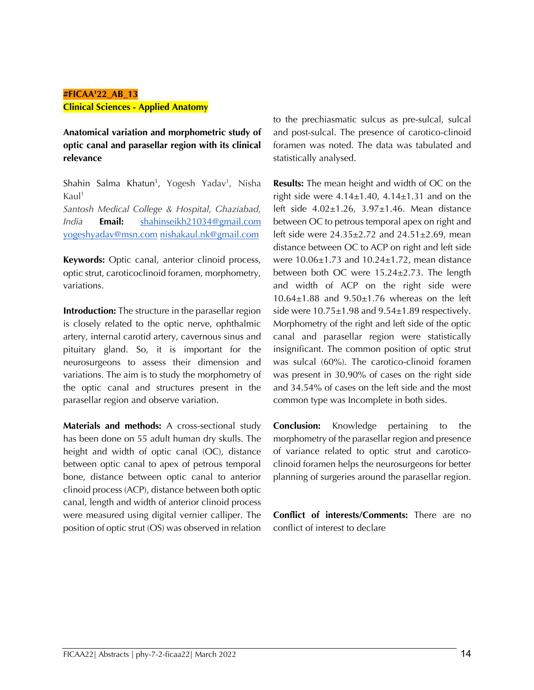#### **#FICAA'22\_AB\_13 Clinical Sciences - Applied Anatomy**

**Anatomical variation and morphometric study of optic canal and parasellar region with its clinical relevance**

Shahin Salma Khatun<sup>1</sup>, Yogesh Yadav<sup>1</sup>, Nisha  $Kaul<sup>1</sup>$ 

*Santosh Medical College & Hospital, Ghaziabad, India* **Email:** shahinseikh21034@gmail.com yogeshyadav@msn.com nishakaul.nk@gmail.com

**Keywords:** Optic canal, anterior clinoid process, optic strut, caroticoclinoid foramen, morphometry, variations.

**Introduction:** The structure in the parasellar region is closely related to the optic nerve, ophthalmic artery, internal carotid artery, cavernous sinus and pituitary gland. So, it is important for the neurosurgeons to assess their dimension and variations. The aim is to study the morphometry of the optic canal and structures present in the parasellar region and observe variation.

**Materials and methods:** A cross-sectional study has been done on 55 adult human dry skulls. The height and width of optic canal (OC), distance between optic canal to apex of petrous temporal bone, distance between optic canal to anterior clinoid process (ACP), distance between both optic canal, length and width of anterior clinoid process were measured using digital vernier calliper. The position of optic strut (OS) was observed in relation to the prechiasmatic sulcus as pre-sulcal, sulcal and post-sulcal. The presence of carotico-clinoid foramen was noted. The data was tabulated and statistically analysed.

**Results:** The mean height and width of OC on the right side were  $4.14\pm1.40$ ,  $4.14\pm1.31$  and on the left side 4.02±1.26, 3.97±1.46. Mean distance between OC to petrous temporal apex on right and left side were 24.35±2.72 and 24.51±2.69, mean distance between OC to ACP on right and left side were 10.06±1.73 and 10.24±1.72, mean distance between both OC were 15.24±2.73. The length and width of ACP on the right side were  $10.64\pm1.88$  and  $9.50\pm1.76$  whereas on the left side were 10.75±1.98 and 9.54±1.89 respectively. Morphometry of the right and left side of the optic canal and parasellar region were statistically insignificant. The common position of optic strut was sulcal (60%). The carotico-clinoid foramen was present in 30.90% of cases on the right side and 34.54% of cases on the left side and the most common type was Incomplete in both sides.

**Conclusion:** Knowledge pertaining to the morphometry of the parasellar region and presence of variance related to optic strut and caroticoclinoid foramen helps the neurosurgeons for better planning of surgeries around the parasellar region.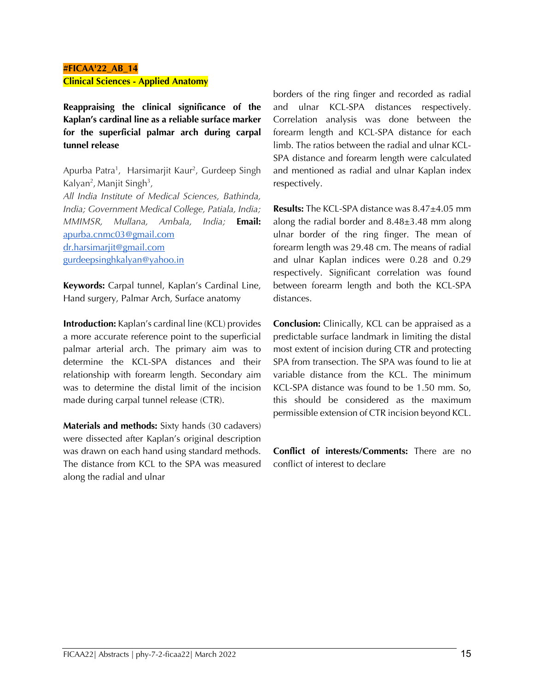# **#FICAA'22\_AB\_14 Clinical Sciences - Applied Anatomy**

**Reappraising the clinical significance of the Kaplan's cardinal line as a reliable surface marker for the superficial palmar arch during carpal tunnel release**

Apurba Patra<sup>1</sup>, Harsimarjit Kaur<sup>2</sup>, Gurdeep Singh Kalyan<sup>2</sup>, Manjit Singh<sup>3</sup>, *All India Institute of Medical Sciences, Bathinda, India; Government Medical College, Patiala, India; MMIMSR, Mullana, Ambala, India;* **Email:**  apurba.cnmc03@gmail.com dr.harsimarjit@gmail.com gurdeepsinghkalyan@yahoo.in

**Keywords:** Carpal tunnel, Kaplan's Cardinal Line, Hand surgery, Palmar Arch, Surface anatomy

**Introduction:** Kaplan's cardinal line (KCL) provides a more accurate reference point to the superficial palmar arterial arch. The primary aim was to determine the KCL-SPA distances and their relationship with forearm length. Secondary aim was to determine the distal limit of the incision made during carpal tunnel release (CTR).

**Materials and methods:** Sixty hands (30 cadavers) were dissected after Kaplan's original description was drawn on each hand using standard methods. The distance from KCL to the SPA was measured along the radial and ulnar

borders of the ring finger and recorded as radial and ulnar KCL-SPA distances respectively. Correlation analysis was done between the forearm length and KCL-SPA distance for each limb. The ratios between the radial and ulnar KCL-SPA distance and forearm length were calculated and mentioned as radial and ulnar Kaplan index respectively.

**Results:** The KCL-SPA distance was 8.47±4.05 mm along the radial border and 8.48±3.48 mm along ulnar border of the ring finger. The mean of forearm length was 29.48 cm. The means of radial and ulnar Kaplan indices were 0.28 and 0.29 respectively. Significant correlation was found between forearm length and both the KCL-SPA distances.

**Conclusion:** Clinically, KCL can be appraised as a predictable surface landmark in limiting the distal most extent of incision during CTR and protecting SPA from transection. The SPA was found to lie at variable distance from the KCL. The minimum KCL-SPA distance was found to be 1.50 mm. So, this should be considered as the maximum permissible extension of CTR incision beyond KCL.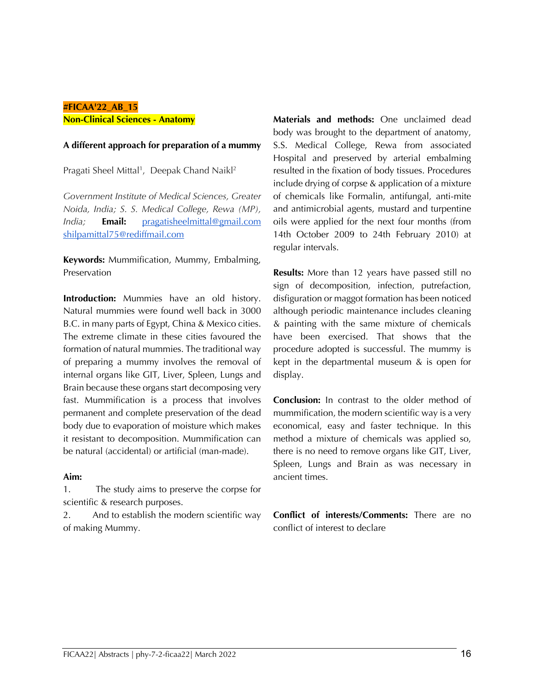#### **#FICAA'22\_AB\_15 Non-Clinical Sciences - Anatomy**

#### **A different approach for preparation of a mummy**

Pragati Sheel Mittal<sup>1</sup>, Deepak Chand Naikl<sup>2</sup>

*Government Institute of Medical Sciences, Greater Noida, India; S. S. Medical College, Rewa (MP), India;* **Email:** pragatisheelmittal@gmail.com shilpamittal75@rediffmail.com

**Keywords:** Mummification, Mummy, Embalming, Preservation

**Introduction:** Mummies have an old history. Natural mummies were found well back in 3000 B.C. in many parts of Egypt, China & Mexico cities. The extreme climate in these cities favoured the formation of natural mummies. The traditional way of preparing a mummy involves the removal of internal organs like GIT, Liver, Spleen, Lungs and Brain because these organs start decomposing very fast. Mummification is a process that involves permanent and complete preservation of the dead body due to evaporation of moisture which makes it resistant to decomposition. Mummification can be natural (accidental) or artificial (man-made).

#### **Aim:**

1. The study aims to preserve the corpse for scientific & research purposes.

2. And to establish the modern scientific way of making Mummy.

**Materials and methods:** One unclaimed dead body was brought to the department of anatomy, S.S. Medical College, Rewa from associated Hospital and preserved by arterial embalming resulted in the fixation of body tissues. Procedures include drying of corpse & application of a mixture of chemicals like Formalin, antifungal, anti-mite and antimicrobial agents, mustard and turpentine oils were applied for the next four months (from 14th October 2009 to 24th February 2010) at regular intervals.

**Results:** More than 12 years have passed still no sign of decomposition, infection, putrefaction, disfiguration or maggot formation has been noticed although periodic maintenance includes cleaning & painting with the same mixture of chemicals have been exercised. That shows that the procedure adopted is successful. The mummy is kept in the departmental museum & is open for display.

**Conclusion:** In contrast to the older method of mummification, the modern scientific way is a very economical, easy and faster technique. In this method a mixture of chemicals was applied so, there is no need to remove organs like GIT, Liver, Spleen, Lungs and Brain as was necessary in ancient times.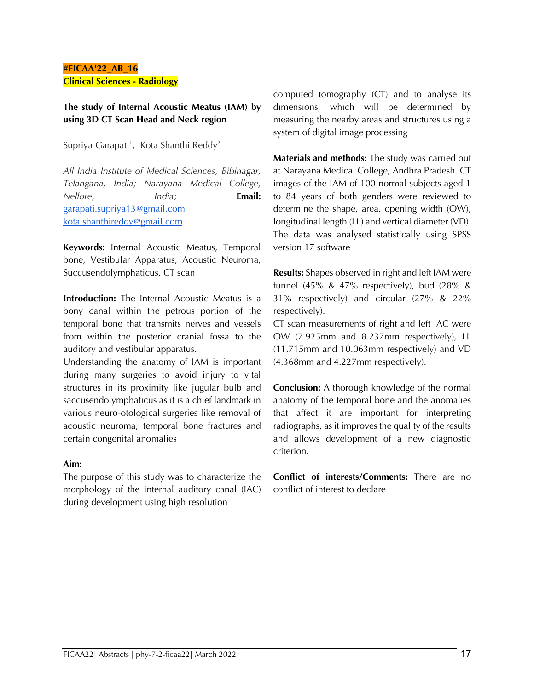#### **#FICAA'22\_AB\_16 Clinical Sciences - Radiology**

# **The study of Internal Acoustic Meatus (IAM) by using 3D CT Scan Head and Neck region**

Supriya Garapati<sup>1</sup>, Kota Shanthi Reddy<sup>2</sup>

*All India Institute of Medical Sciences, Bibinagar, Telangana, India; Narayana Medical College, Nellore, India;* **Email:**  garapati.supriya13@gmail.com kota.shanthireddy@gmail.com

**Keywords:** Internal Acoustic Meatus, Temporal bone, Vestibular Apparatus, Acoustic Neuroma, Succusendolymphaticus, CT scan

**Introduction:** The Internal Acoustic Meatus is a bony canal within the petrous portion of the temporal bone that transmits nerves and vessels from within the posterior cranial fossa to the auditory and vestibular apparatus.

Understanding the anatomy of IAM is important during many surgeries to avoid injury to vital structures in its proximity like jugular bulb and saccusendolymphaticus as it is a chief landmark in various neuro-otological surgeries like removal of acoustic neuroma, temporal bone fractures and certain congenital anomalies

#### **Aim:**

The purpose of this study was to characterize the morphology of the internal auditory canal (IAC) during development using high resolution

computed tomography (CT) and to analyse its dimensions, which will be determined by measuring the nearby areas and structures using a system of digital image processing

**Materials and methods:** The study was carried out at Narayana Medical College, Andhra Pradesh. CT images of the IAM of 100 normal subjects aged 1 to 84 years of both genders were reviewed to determine the shape, area, opening width (OW), longitudinal length (LL) and vertical diameter (VD). The data was analysed statistically using SPSS version 17 software

**Results:** Shapes observed in right and left IAM were funnel (45%  $\&$  47% respectively), bud (28%  $\&$ 31% respectively) and circular (27% & 22% respectively).

CT scan measurements of right and left IAC were OW (7.925mm and 8.237mm respectively), LL (11.715mm and 10.063mm respectively) and VD (4.368mm and 4.227mm respectively).

**Conclusion:** A thorough knowledge of the normal anatomy of the temporal bone and the anomalies that affect it are important for interpreting radiographs, as it improves the quality of the results and allows development of a new diagnostic criterion.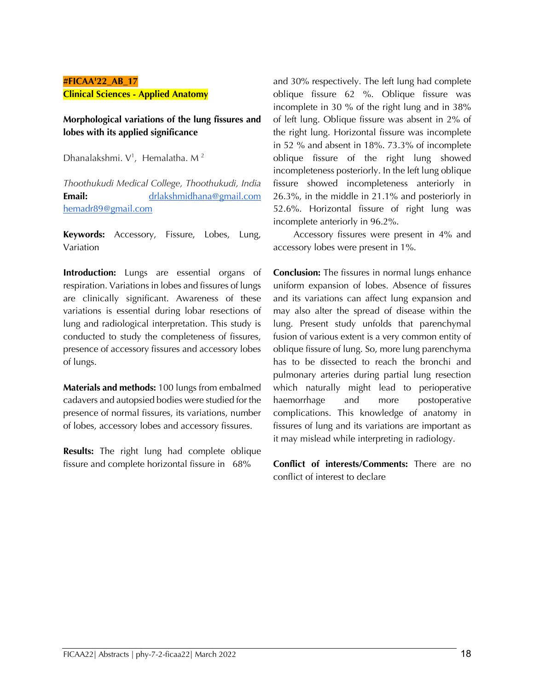# **#FICAA'22\_AB\_17 Clinical Sciences - Applied Anatomy**

#### **Morphological variations of the lung fissures and lobes with its applied significance**

Dhanalakshmi.  $V^1$ , Hemalatha. M<sup>2</sup>

*Thoothukudi Medical College, Thoothukudi, India*  **Email:** drlakshmidhana@gmail.com hemadr89@gmail.com

**Keywords:** Accessory, Fissure, Lobes, Lung, Variation

**Introduction:** Lungs are essential organs of respiration. Variations in lobes and fissures of lungs are clinically significant. Awareness of these variations is essential during lobar resections of lung and radiological interpretation. This study is conducted to study the completeness of fissures, presence of accessory fissures and accessory lobes of lungs.

**Materials and methods:** 100 lungs from embalmed cadavers and autopsied bodies were studied for the presence of normal fissures, its variations, number of lobes, accessory lobes and accessory fissures.

**Results:** The right lung had complete oblique fissure and complete horizontal fissure in 68%

and 30% respectively. The left lung had complete oblique fissure 62 %. Oblique fissure was incomplete in 30 % of the right lung and in 38% of left lung. Oblique fissure was absent in 2% of the right lung. Horizontal fissure was incomplete in 52 % and absent in 18%. 73.3% of incomplete oblique fissure of the right lung showed incompleteness posteriorly. In the left lung oblique fissure showed incompleteness anteriorly in 26.3%, in the middle in 21.1% and posteriorly in 52.6%. Horizontal fissure of right lung was incomplete anteriorly in 96.2%.

 Accessory fissures were present in 4% and accessory lobes were present in 1%.

**Conclusion:** The fissures in normal lungs enhance uniform expansion of lobes. Absence of fissures and its variations can affect lung expansion and may also alter the spread of disease within the lung. Present study unfolds that parenchymal fusion of various extent is a very common entity of oblique fissure of lung. So, more lung parenchyma has to be dissected to reach the bronchi and pulmonary arteries during partial lung resection which naturally might lead to perioperative haemorrhage and more postoperative complications. This knowledge of anatomy in fissures of lung and its variations are important as it may mislead while interpreting in radiology.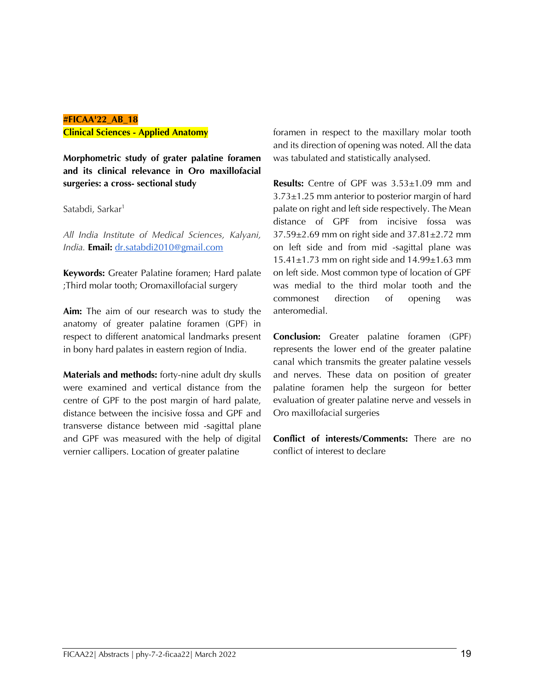# **#FICAA'22\_AB\_18 Clinical Sciences - Applied Anatomy**

**Morphometric study of grater palatine foramen and its clinical relevance in Oro maxillofacial surgeries: a cross- sectional study**

Satabdi, Sarkar<sup>1</sup>

*All India Institute of Medical Sciences, Kalyani, India.* **Email:** dr.satabdi2010@gmail.com

**Keywords:** Greater Palatine foramen; Hard palate ;Third molar tooth; Oromaxillofacial surgery

**Aim:** The aim of our research was to study the anatomy of greater palatine foramen (GPF) in respect to different anatomical landmarks present in bony hard palates in eastern region of India.

**Materials and methods:** forty-nine adult dry skulls were examined and vertical distance from the centre of GPF to the post margin of hard palate, distance between the incisive fossa and GPF and transverse distance between mid -sagittal plane and GPF was measured with the help of digital vernier callipers. Location of greater palatine

foramen in respect to the maxillary molar tooth and its direction of opening was noted. All the data was tabulated and statistically analysed.

**Results:** Centre of GPF was 3.53±1.09 mm and 3.73±1.25 mm anterior to posterior margin of hard palate on right and left side respectively. The Mean distance of GPF from incisive fossa was 37.59±2.69 mm on right side and 37.81±2.72 mm on left side and from mid -sagittal plane was  $15.41\pm1.73$  mm on right side and  $14.99\pm1.63$  mm on left side. Most common type of location of GPF was medial to the third molar tooth and the commonest direction of opening was anteromedial.

**Conclusion:** Greater palatine foramen (GPF) represents the lower end of the greater palatine canal which transmits the greater palatine vessels and nerves. These data on position of greater palatine foramen help the surgeon for better evaluation of greater palatine nerve and vessels in Oro maxillofacial surgeries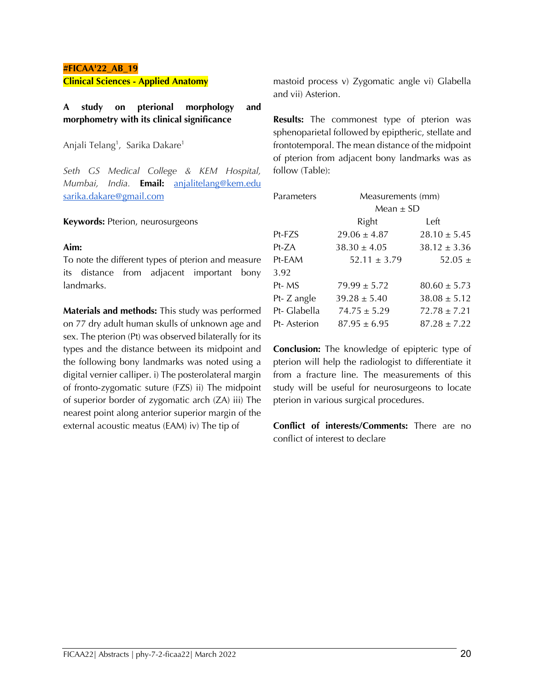#### **#FICAA'22\_AB\_19 Clinical Sciences - Applied Anatomy**

# **A study on pterional morphology and morphometry with its clinical significance**

Anjali Telang<sup>1</sup>, Sarika Dakare<sup>1</sup>

*Seth GS Medical College & KEM Hospital, Mumbai, India.* **Email:** anjalitelang@kem.edu sarika.dakare@gmail.com

#### **Keywords:** Pterion, neurosurgeons

#### **Aim:**

To note the different types of pterion and measure its distance from adjacent important bony landmarks.

**Materials and methods:** This study was performed on 77 dry adult human skulls of unknown age and sex. The pterion (Pt) was observed bilaterally for its types and the distance between its midpoint and the following bony landmarks was noted using a digital vernier calliper. i) The posterolateral margin of fronto-zygomatic suture (FZS) ii) The midpoint of superior border of zygomatic arch (ZA) iii) The nearest point along anterior superior margin of the external acoustic meatus (EAM) iv) The tip of

mastoid process v) Zygomatic angle vi) Glabella and vii) Asterion.

**Results:** The commonest type of pterion was sphenoparietal followed by epiptheric, stellate and frontotemporal. The mean distance of the midpoint of pterion from adjacent bony landmarks was as follow (Table):

| Parameters   | Measurements (mm) |                  |
|--------------|-------------------|------------------|
|              | Mean $\pm$ SD     |                  |
|              | Right             | Left             |
| Pt-FZS       | $29.06 \pm 4.87$  | $28.10 \pm 5.45$ |
| Pt-ZA        | $38.30 \pm 4.05$  | $38.12 \pm 3.36$ |
| Pt-EAM       | $52.11 \pm 3.79$  | 52.05 $\pm$      |
| 3.92         |                   |                  |
| Pt-MS        | $79.99 \pm 5.72$  | $80.60 \pm 5.73$ |
| Pt- Z angle  | $39.28 \pm 5.40$  | $38.08 \pm 5.12$ |
| Pt- Glabella | $74.75 \pm 5.29$  | $72.78 \pm 7.21$ |
| Pt-Asterion  | $87.95 \pm 6.95$  | $87.28 + 7.22$   |

**Conclusion:** The knowledge of epipteric type of pterion will help the radiologist to differentiate it from a fracture line. The measurements of this study will be useful for neurosurgeons to locate pterion in various surgical procedures.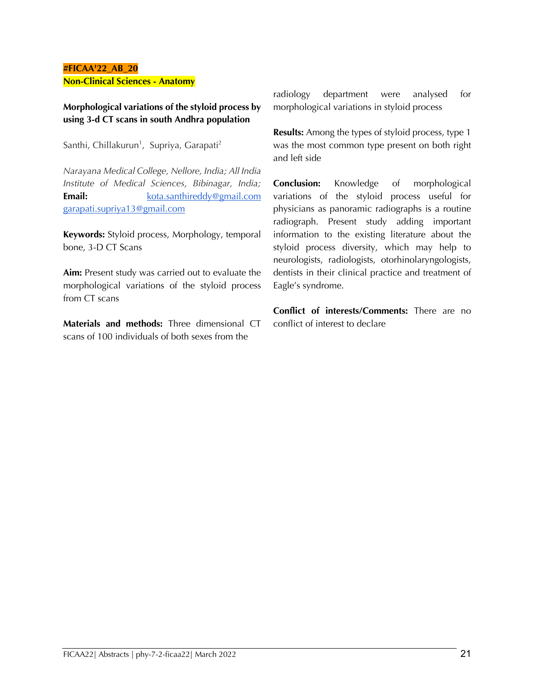#### **#FICAA'22\_AB\_20 Non-Clinical Sciences - Anatomy**

**Morphological variations of the styloid process by using 3-d CT scans in south Andhra population**

Santhi, Chillakurun<sup>1</sup>, Supriya, Garapati<sup>2</sup>

*Narayana Medical College, Nellore, India; All India Institute of Medical Sciences, Bibinagar, India;*  **Email: kota.santhireddy@gmail.com** garapati.supriya13@gmail.com

**Keywords:** Styloid process, Morphology, temporal bone, 3-D CT Scans

**Aim:** Present study was carried out to evaluate the morphological variations of the styloid process from CT scans

**Materials and methods:** Three dimensional CT scans of 100 individuals of both sexes from the

radiology department were analysed for morphological variations in styloid process

**Results:** Among the types of styloid process, type 1 was the most common type present on both right and left side

**Conclusion:** Knowledge of morphological variations of the styloid process useful for physicians as panoramic radiographs is a routine radiograph. Present study adding important information to the existing literature about the styloid process diversity, which may help to neurologists, radiologists, otorhinolaryngologists, dentists in their clinical practice and treatment of Eagle's syndrome.